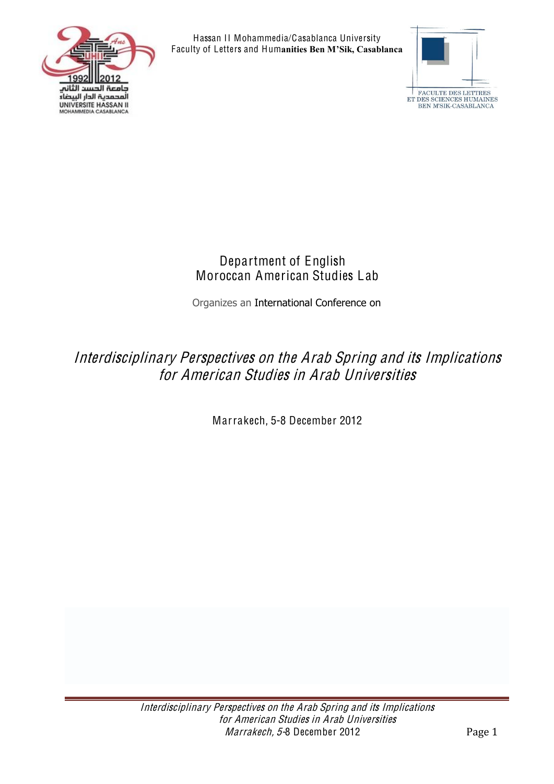



#### Department of English Moroccan American Studies Lab

Organizes an International Conference on

# Interdisciplinary Perspective<sup>s</sup> on th<sup>e</sup> Arab Spring and its Impli<sup>c</sup>ation<sup>s</sup> for American Studies in Arab Universities

Marrakech, 5-8 December 2012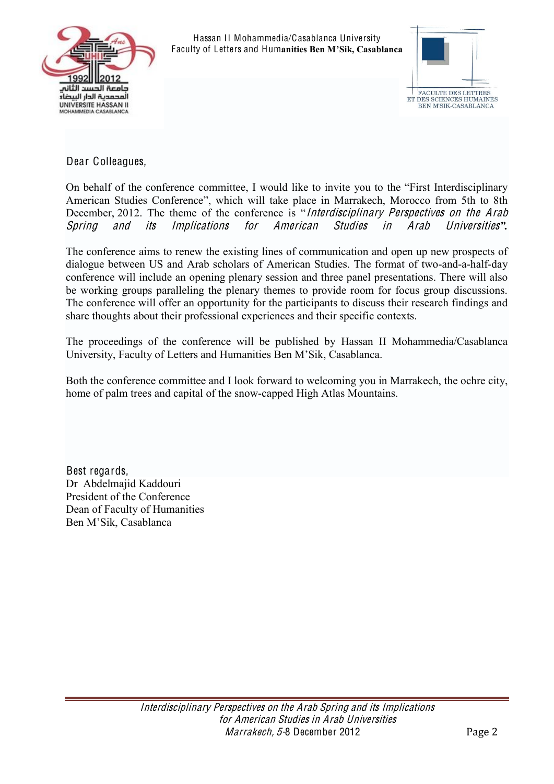



Dear Colleagues,

On behalf of the conference committee, I would like to invite you to the "First Interdisciplinary American Studies Conference", which will take place in Marrakech, Morocco from 5th to 8th December, 2012. The theme of the conference is "Interdisciplinary Perspectives on the Arab Spring and its Impli<sup>c</sup>ation<sup>s</sup> for American Studie<sup>s</sup> in Arab Universitie<sup>s</sup>*".*

The conference aims to renew the existing lines of communication and open up new prospects of dialogue between US and Arab scholars of American Studies. The format of two-and-a-half-day conference will include an opening plenary session and three panel presentations. There will also be working groups paralleling the plenary themes to provide room for focus group discussions. The conference will offer an opportunity for the participants to discuss their research findings and share thoughts about their professional experiences and their specific contexts.

The proceedings of the conference will be published by Hassan II Mohammedia/Casablanca University, Faculty of Letters and Humanities Ben M'Sik, Casablanca.

Both the conference committee and I look forward to welcoming you in Marrakech, the ochre city, home of palm trees and capital of the snow-capped High Atlas Mountains.

Best regards, Dr Abdelmajid Kaddouri President of the Conference Dean of Faculty of Humanities Ben M'Sik, Casablanca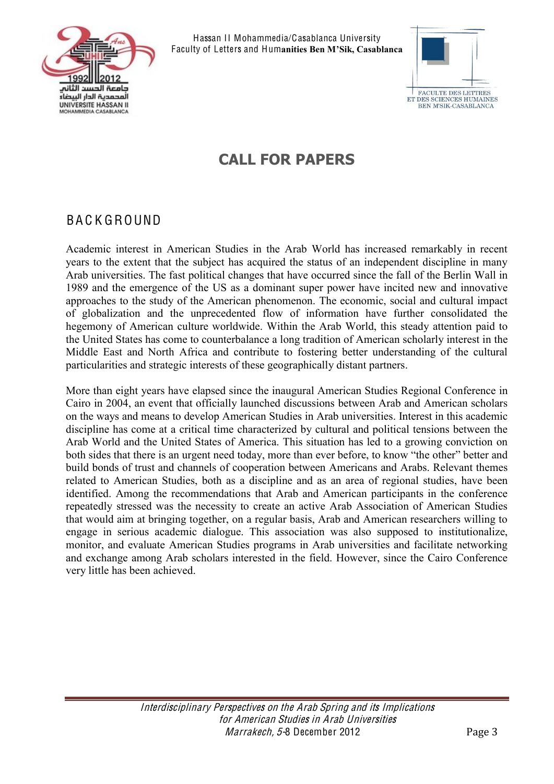



# **CALL FOR PAPERS**

#### BA C K GROUND

Academic interest in American Studies in the Arab World has increased remarkably in recent years to the extent that the subject has acquired the status of an independent discipline in many Arab universities. The fast political changes that have occurred since the fall of the Berlin Wall in 1989 and the emergence of the US as a dominant super power have incited new and innovative approaches to the study of the American phenomenon. The economic, social and cultural impact of globalization and the unprecedented flow of information have further consolidated the hegemony of American culture worldwide. Within the Arab World, this steady attention paid to the United States has come to counterbalance a long tradition of American scholarly interest in the Middle East and North Africa and contribute to fostering better understanding of the cultural particularities and strategic interests of these geographically distant partners.

More than eight years have elapsed since the inaugural American Studies Regional Conference in Cairo in 2004, an event that officially launched discussions between Arab and American scholars on the ways and means to develop American Studies in Arab universities. Interest in this academic discipline has come at a critical time characterized by cultural and political tensions between the Arab World and the United States of America. This situation has led to a growing conviction on both sides that there is an urgent need today, more than ever before, to know "the other" better and build bonds of trust and channels of cooperation between Americans and Arabs. Relevant themes related to American Studies, both as a discipline and as an area of regional studies, have been identified. Among the recommendations that Arab and American participants in the conference repeatedly stressed was the necessity to create an active Arab Association of American Studies that would aim at bringing together, on a regular basis, Arab and American researchers willing to engage in serious academic dialogue. This association was also supposed to institutionalize, monitor, and evaluate American Studies programs in Arab universities and facilitate networking and exchange among Arab scholars interested in the field. However, since the Cairo Conference very little has been achieved.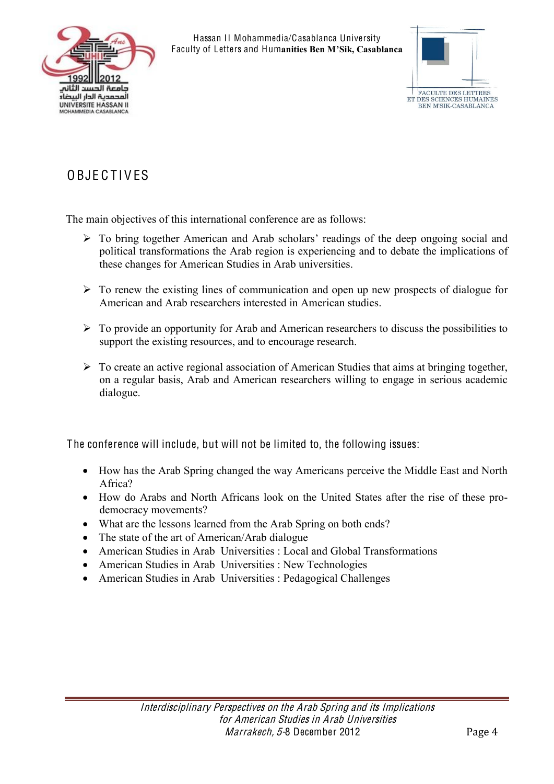



# **OBJECTIVES**

The main objectives of this international conference are as follows:

- $\triangleright$  To bring together American and Arab scholars' readings of the deep ongoing social and political transformations the Arab region is experiencing and to debate the implications of these changes for American Studies in Arab universities.
- $\triangleright$  To renew the existing lines of communication and open up new prospects of dialogue for American and Arab researchers interested in American studies.
- $\triangleright$  To provide an opportunity for Arab and American researchers to discuss the possibilities to support the existing resources, and to encourage research.
- $\triangleright$  To create an active regional association of American Studies that aims at bringing together, on a regular basis, Arab and American researchers willing to engage in serious academic dialogue.

The conference will include, but will not be limited to, the following issues:

- How has the Arab Spring changed the way Americans perceive the Middle East and North Africa?
- How do Arabs and North Africans look on the United States after the rise of these prodemocracy movements?
- What are the lessons learned from the Arab Spring on both ends?
- The state of the art of American/Arab dialogue
- American Studies in Arab Universities : Local and Global Transformations
- American Studies in Arab Universities : New Technologies
- American Studies in Arab Universities : Pedagogical Challenges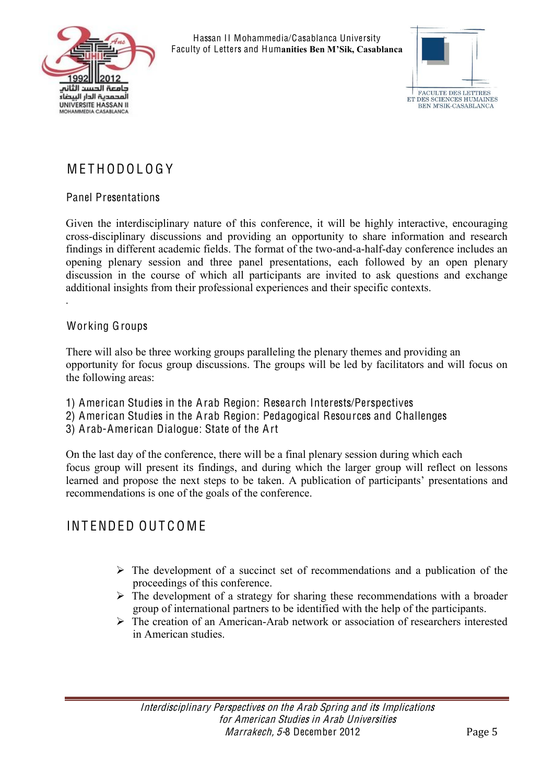



## M E T H ODO L O G Y

#### Panel Presentations

Given the interdisciplinary nature of this conference, it will be highly interactive, encouraging cross-disciplinary discussions and providing an opportunity to share information and research findings in different academic fields. The format of the two-and-a-half-day conference includes an opening plenary session and three panel presentations, each followed by an open plenary discussion in the course of which all participants are invited to ask questions and exchange additional insights from their professional experiences and their specific contexts. .

#### Working Groups

There will also be three working groups paralleling the plenary themes and providing an opportunity for focus group discussions. The groups will be led by facilitators and will focus on the following areas:

- 1) American Studies in the Arab Region: Research Interests/Perspectives
- 2) American Studies in the Arab Region: Pedagogical Resources and Challenges
- 3) Arab-American Dialogue: State of the Art

On the last day of the conference, there will be a final plenary session during which each focus group will present its findings, and during which the larger group will reflect on lessons learned and propose the next steps to be taken. A publication of participants' presentations and recommendations is one of the goals of the conference.

#### INT ENDED OUT C O M E

- $\triangleright$  The development of a succinct set of recommendations and a publication of the proceedings of this conference.
- $\triangleright$  The development of a strategy for sharing these recommendations with a broader group of international partners to be identified with the help of the participants.
- $\triangleright$  The creation of an American-Arab network or association of researchers interested in American studies.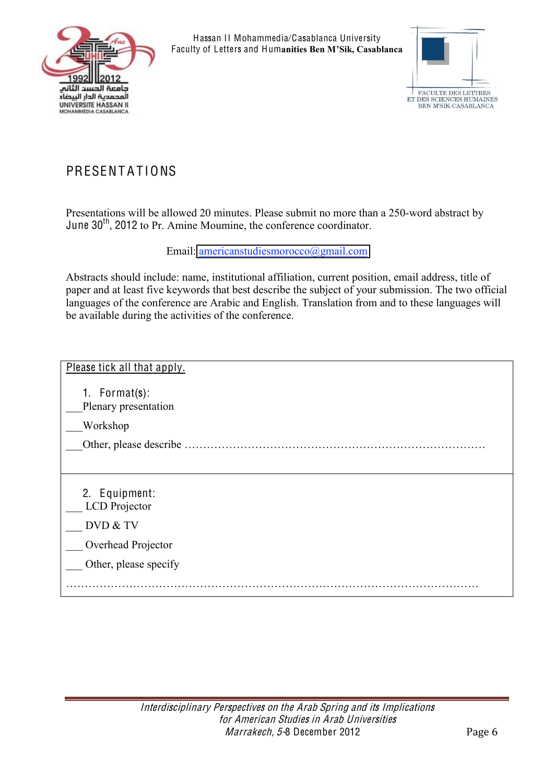



## PRESENTATIONS

Presentations will be allowed 20 minutes. Please submit no more than a 250-word abstract by June 30<sup>th</sup>, 2012 to Pr. Amine Moumine, the conference coordinator.

Email: [americanstudiesmorocco@gmail.com](mailto:americanstudiesmorocco@gmail.com)

Abstracts should include: name, institutional affiliation, current position, email address, title of paper and at least five keywords that best describe the subject of your submission. The two official languages of the conference are Arabic and English. Translation from and to these languages will be available during the activities of the conference.

| Please tick all that apply.               |
|-------------------------------------------|
| 1. Format $(s)$ :<br>Plenary presentation |
| Workshop                                  |
| Other, please describe                    |
|                                           |
| 2. Equipment:<br>LCD Projector            |
| DVD & TV                                  |
| Overhead Projector                        |
| Other, please specify                     |
|                                           |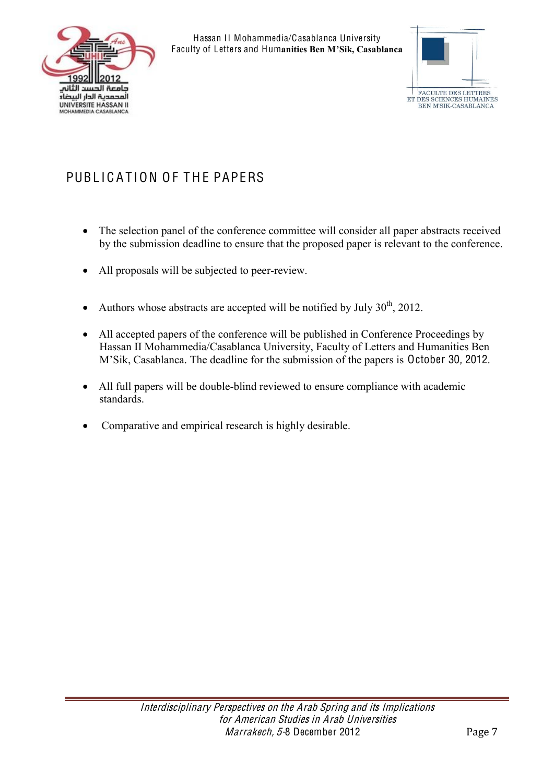



# PUBLICATION OF THE PAPERS

- The selection panel of the conference committee will consider all paper abstracts received by the submission deadline to ensure that the proposed paper is relevant to the conference.
- All proposals will be subjected to peer-review.
- Authors whose abstracts are accepted will be notified by July  $30<sup>th</sup>$ , 2012.
- All accepted papers of the conference will be published in Conference Proceedings by Hassan II Mohammedia/Casablanca University, Faculty of Letters and Humanities Ben M'Sik, Casablanca. The deadline for the submission of the papers is October 30, 2012.
- All full papers will be double-blind reviewed to ensure compliance with academic standards.
- Comparative and empirical research is highly desirable.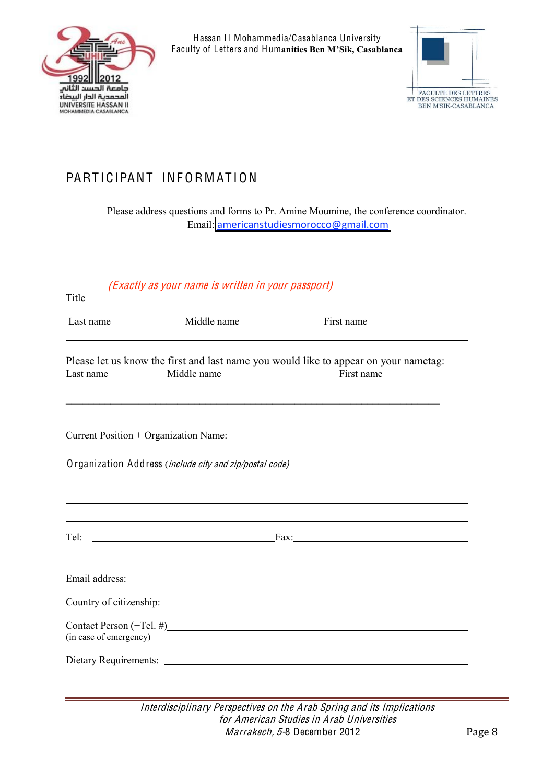



## PARTICIPANT INFORMATION

Please address questions and forms to Pr. Amine Moumine, the conference coordinator. Email: [americanstudiesmorocco@gmail.com](mailto:americanstudiesmorocco@gmail.com)

#### (Exactly <sup>a</sup><sup>s</sup> your nam<sup>e</sup> i<sup>s</sup> writte<sup>n</sup> in your passport)

| Last name                                                           | Middle name                                             | First name                                                                                         |
|---------------------------------------------------------------------|---------------------------------------------------------|----------------------------------------------------------------------------------------------------|
| Last name                                                           | Middle name                                             | Please let us know the first and last name you would like to appear on your nametag:<br>First name |
|                                                                     | Current Position + Organization Name:                   |                                                                                                    |
|                                                                     | Organization Address (include city and zip/postal code) |                                                                                                    |
|                                                                     |                                                         |                                                                                                    |
|                                                                     |                                                         |                                                                                                    |
|                                                                     |                                                         | Tel: $\frac{Fax}{ax}$                                                                              |
|                                                                     |                                                         |                                                                                                    |
|                                                                     |                                                         |                                                                                                    |
| Email address:<br>Country of citizenship:<br>(in case of emergency) | Contact Person $(+\text{Tel.}\#)$                       |                                                                                                    |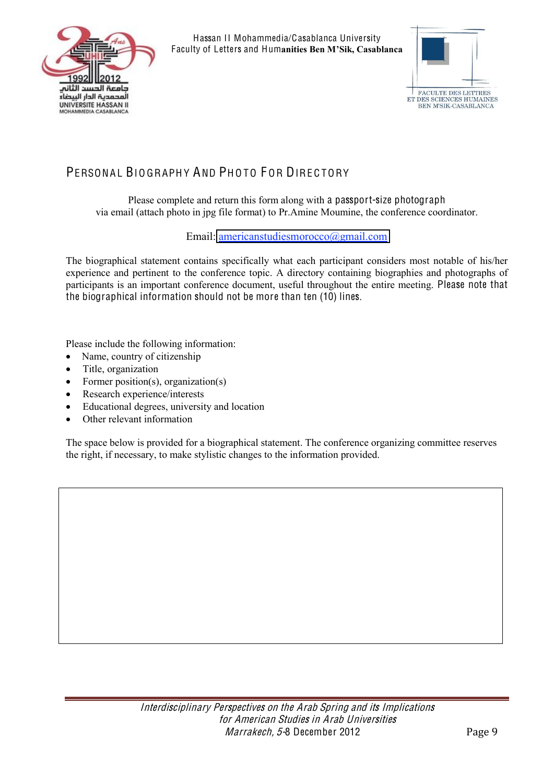



## PERSONAL BIOGRAPHY AND PHOTO FOR DIRECTORY

Please complete and return this form along with a passport-size photograph via email (attach photo in jpg file format) to Pr.Amine Moumine, the conference coordinator.

Email: [americanstudiesmorocco@gmail.com](mailto:americanstudiesmorocco@gmail.com)

The biographical statement contains specifically what each participant considers most notable of his/her experience and pertinent to the conference topic. A directory containing biographies and photographs of participants is an important conference document, useful throughout the entire meeting. Please note that the biographical information should not be more than ten (10) lines.

Please include the following information:

- Name, country of citizenship
- Title, organization
- Former position(s), organization(s)
- Research experience/interests
- Educational degrees, university and location
- Other relevant information

The space below is provided for a biographical statement. The conference organizing committee reserves the right, if necessary, to make stylistic changes to the information provided.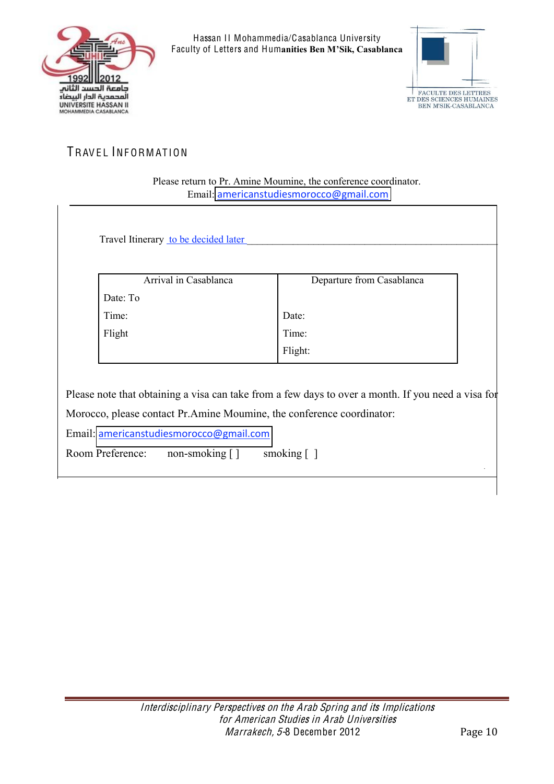



#### TRAVEL INFORMATION

Please return to Pr. Amine Moumine, the conference coordinator. Email: [americanstudiesmorocco@gmail.com](mailto:americanstudiesmorocco@gmail.com)

Travel Itinerary to be decided later

| Arrival in Casablanca | Departure from Casablanca |  |
|-----------------------|---------------------------|--|
| Date: To              |                           |  |
| Time:                 | Date:                     |  |
| Flight                | Time:                     |  |
|                       | Flight:                   |  |
|                       |                           |  |

Please note that obtaining a visa can take from a few days to over a month. If you need a visa for Morocco, please contact Pr.Amine Moumine, the conference coordinator:

Email: [americanstudiesmorocco@gmail.com](mailto:americanstudiesmorocco@gmail.com)

Room Preference: non-smoking [] smoking []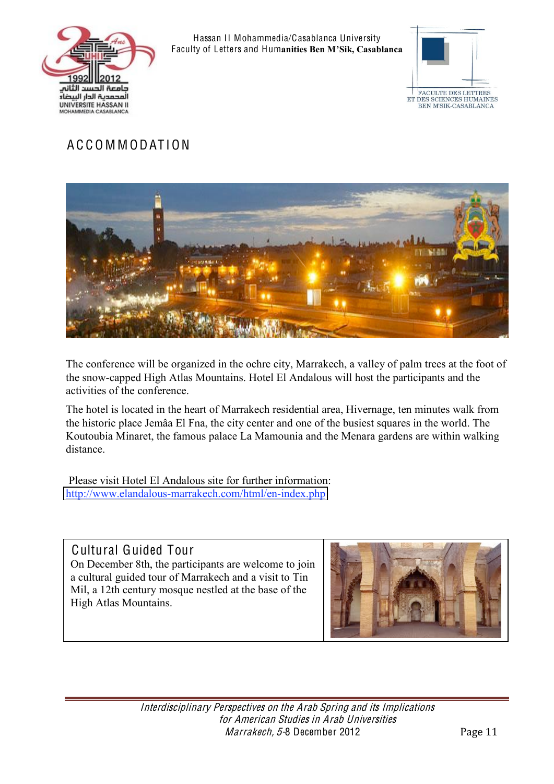



## A C C O M M ODAT ION



The conference will be organized in the ochre city, Marrakech, a valley of palm trees at the foot of the snow-capped High Atlas Mountains. Hotel El Andalous will host the participants and the activities of the conference.

The hotel is located in the heart of Marrakech residential area, Hivernage, ten minutes walk from the historic place Jemâa El Fna, the city center and one of the busiest squares in the world. The Koutoubia Minaret, the famous palace La Mamounia and the Menara gardens are within walking distance.

Please visit Hotel El Andalous site for further information: <http://www.elandalous-marrakech.com/html/en-index.php>

#### Cultural Guided Tour On December 8th, the participants are welcome to join a cultural guided tour of Marrakech and a visit to Tin Mil, a 12th century mosque nestled at the base of the High Atlas Mountains.

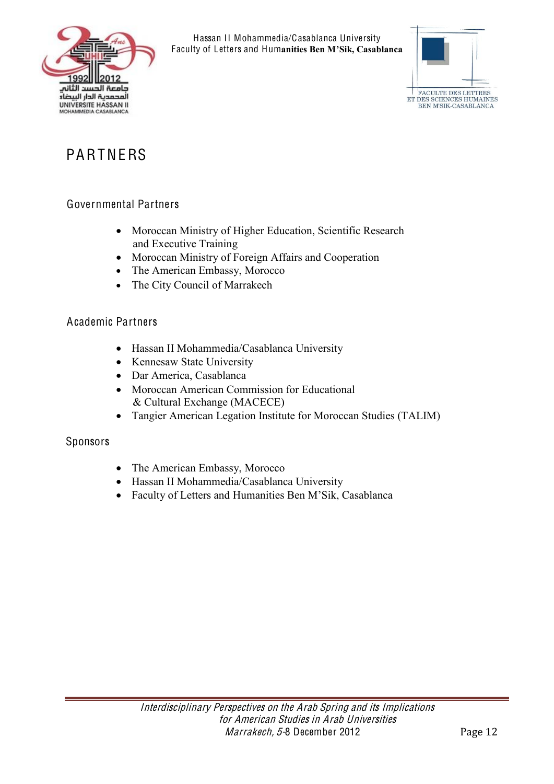



# PARTNERS

#### Governmental Partners

- Moroccan Ministry of Higher Education, Scientific Research and Executive Training
- Moroccan Ministry of Foreign Affairs and Cooperation
- The American Embassy, Morocco
- The City Council of Marrakech

#### Academic Partners

- Hassan II Mohammedia/Casablanca University
- Kennesaw State University
- Dar America, Casablanca
- Moroccan American Commission for Educational & Cultural Exchange (MACECE)
- Tangier American Legation Institute for Moroccan Studies (TALIM)

#### Sponsors

- The American Embassy, Morocco
- Hassan II Mohammedia/Casablanca University
- Faculty of Letters and Humanities Ben M'Sik, Casablanca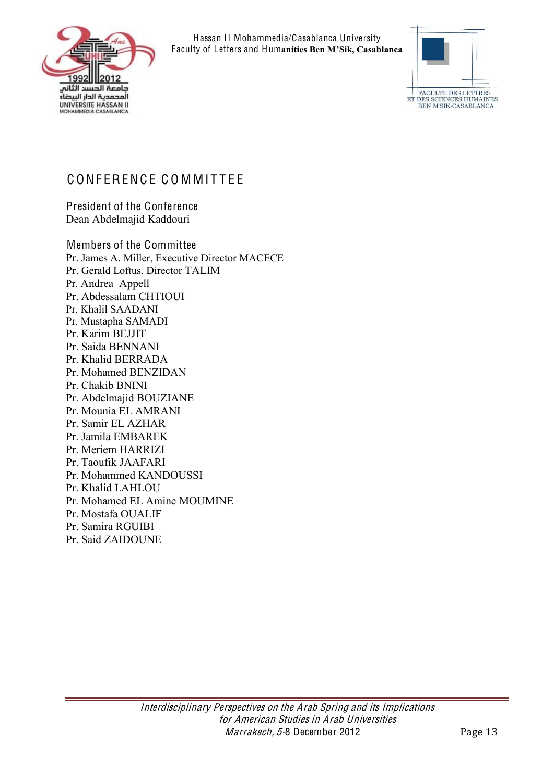



## CONFERENCE COMMITTEE

President of the Conference Dean Abdelmajid Kaddouri

Members of the Committee Pr. James A. Miller, Executive Director MACECE Pr. Gerald Loftus, Director TALIM Pr. Andrea Appell Pr. Abdessalam CHTIOUI Pr. Khalil SAADANI Pr. Mustapha SAMADI Pr. Karim BEJJIT Pr. Saida BENNANI Pr. Khalid BERRADA Pr. Mohamed BENZIDAN Pr. Chakib BNINI Pr. Abdelmajid BOUZIANE Pr. Mounia EL AMRANI Pr. Samir EL AZHAR Pr. Jamila EMBAREK Pr. Meriem HARRIZI Pr. Taoufik JAAFARI Pr. Mohammed KANDOUSSI Pr. Khalid LAHLOU Pr. Mohamed EL Amine MOUMINE Pr. Mostafa OUALIF Pr. Samira RGUIBI Pr. Said ZAIDOUNE